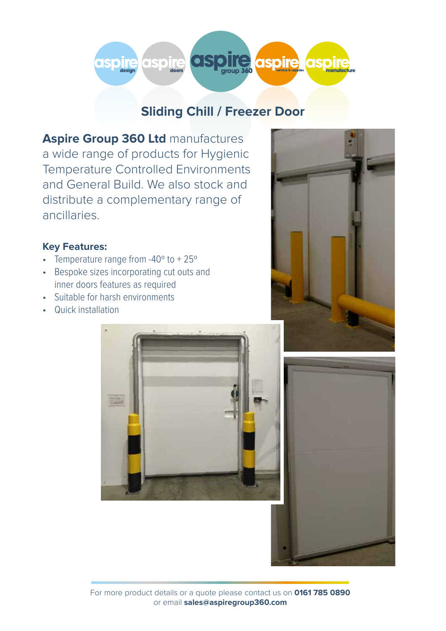

# **Sliding Chill / Freezer Door**

**Aspire Group 360 Ltd manufactures** a wide range of products for Hygienic Temperature Controlled Environments and General Build. We also stock and distribute a complementary range of ancillaries.

## **Key Features:**

- Temperature range from -40° to +25°
- Bespoke sizes incorporating cut outs and inner doors features as required
- Suitable for harsh environments
- Quick installation